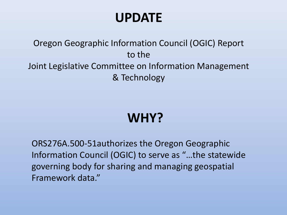## **UPDATE**

#### Oregon Geographic Information Council (OGIC) Report to the Joint Legislative Committee on Information Management & Technology

# **WHY?**

ORS276A.500-51authorizes the Oregon Geographic Information Council (OGIC) to serve as "…the statewide governing body for sharing and managing geospatial Framework data."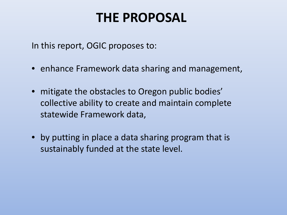## **THE PROPOSAL**

In this report, OGIC proposes to:

- enhance Framework data sharing and management,
- mitigate the obstacles to Oregon public bodies' collective ability to create and maintain complete statewide Framework data,
- by putting in place a data sharing program that is sustainably funded at the state level.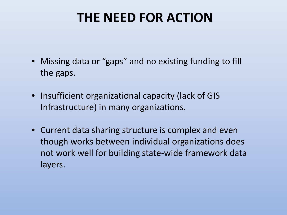# **THE NEED FOR ACTION**

- Missing data or "gaps" and no existing funding to fill the gaps.
- Insufficient organizational capacity (lack of GIS Infrastructure) in many organizations.
- Current data sharing structure is complex and even though works between individual organizations does not work well for building state-wide framework data layers.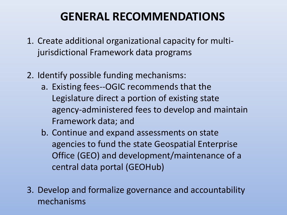#### **GENERAL RECOMMENDATIONS**

- 1. Create additional organizational capacity for multijurisdictional Framework data programs
- 2. Identify possible funding mechanisms:
	- a. Existing fees--OGIC recommends that the Legislature direct a portion of existing state agency-administered fees to develop and maintain Framework data; and
	- b. Continue and expand assessments on state agencies to fund the state Geospatial Enterprise Office (GEO) and development/maintenance of a central data portal (GEOHub)
- 3. Develop and formalize governance and accountability mechanisms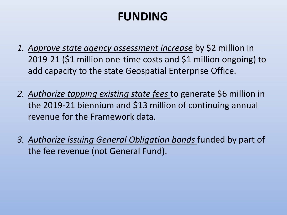## **FUNDING**

- *1. Approve state agency assessment increase* by \$2 million in 2019-21 (\$1 million one-time costs and \$1 million ongoing) to add capacity to the state Geospatial Enterprise Office.
- *2. Authorize tapping existing state fees* to generate \$6 million in the 2019-21 biennium and \$13 million of continuing annual revenue for the Framework data.
- *3. Authorize issuing General Obligation bonds* funded by part of the fee revenue (not General Fund).